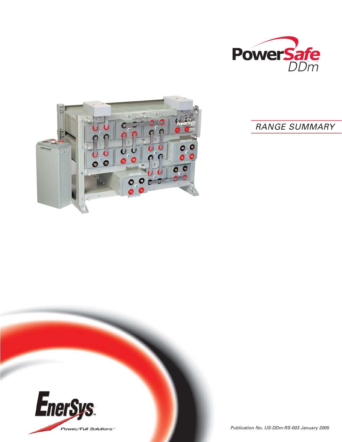



# RANGE SUMMARY

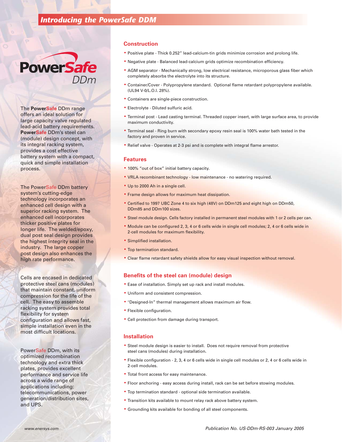### *Introducing the PowerSafe DDM*



The **PowerSafe** DDm range offers an ideal solution for large capacity valve regulated lead-acid battery requirements. **PowerSafe** DDm's steel can (module) design concept, with its integral racking system, provides a cost effective battery system with a compact, quick and simple installation process.

The PowerSafe DDm battery system's cutting-edge technology incorporates an enhanced cell design with a superior racking system. The enhanced cell incorporates thicker positive plates for longer life. The welded/epoxy, dual post seal design provides the highest integrity seal in the industry. The large copper post design also enhances the high rate performance.

Cells are encased in dedicated protective steel cans (modules) that maintain constant, uniform compression for the life of the cell. The easy to assemble racking system provides total flexibility for system configuration and allows fast, simple installation even in the most difficult locations.

PowerSafe DDm, with its optimized recombination technology and extra thick plates, provides excellent performance and service life across a wide range of applications including: telecommunications, power generation/distribution sites, and UPS.

#### **Construction**

- Positive plate Thick 0.252" lead-calcium-tin grids minimize corrosion and prolong life.
- Negative plate Balanced lead-calcium grids optimize recombination efficiency.
- AGM separator Mechanically strong, low electrical resistance, microporous glass fiber which completely absorbs the electrolyte into its structure.
- Container/Cover Polypropylene standard. Optional flame retardant polypropylene available. (UL94 V-0/L.O.I. 28%).
- Containers are single-piece construction.
- Electrolyte Diluted sulfuric acid.
- Terminal post Lead casting terminal. Threaded copper insert, with large surface area, to provide maximum conductivity.
- Terminal seal Ring burn with secondary epoxy resin seal is 100% water bath tested in the factory and proven in service.
- Relief valve Operates at 2-3 psi and is complete with integral flame arrestor.

#### **Features**

- 100% "out of box" initial battery capacity.
- VRLA recombinant technology low maintenance no watering required.
- Up to 2000 Ah in a single cell.
- Frame design allows for maximum heat dissipation.
- Certified to 1997 UBC Zone 4 to six high (48V) on DDm125 and eight high on DDm50, DDm85 and DDm100 sizes.
- Steel module design. Cells factory installed in permanent steel modules with 1 or 2 cells per can.
- Module can be configured 2, 3, 4 or 6 cells wide in single cell modules; 2, 4 or 6 cells wide in 2-cell modules for maximum flexibility.
- Simplified installation.
- Top termination standard.
- Clear flame retardant safety shields allow for easy visual inspection without removal.

#### **Benefits of the steel can (module) design**

- Ease of installation. Simply set up rack and install modules.
- Uniform and consistent compression.
- "Designed-In" thermal management allows maximum air flow.
- Flexible configuration.
- Cell protection from damage during transport.

#### **Installation**

- Steel module design is easier to install. Does not require removal from protective steel cans (modules) during installation.
- Flexible configuration 2, 3, 4 or 6 cells wide in single cell modules or 2, 4 or 6 cells wide in 2-cell modules.
- Total front access for easy maintenance.
- Floor anchoring easy access during install, rack can be set before stowing modules.
- Top termination standard optional side termination available.
- Transition kits available to mount relay rack above battery system.
- Grounding kits available for bonding of all steel components.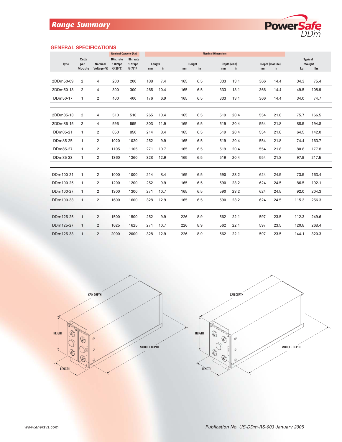

#### **GENERAL SPECIFICATIONS**

|             |                               |                               | <b>Nominal Capacity (Ah)</b>    |                                | <b>Nominal Dimensions</b> |      |                               |     |                         |     |                      |       |                                       |  |
|-------------|-------------------------------|-------------------------------|---------------------------------|--------------------------------|---------------------------|------|-------------------------------|-----|-------------------------|-----|----------------------|-------|---------------------------------------|--|
| <b>Type</b> | <b>Cells</b><br>per<br>Module | <b>Nominal</b><br>Voltage (V) | 10hr. rate<br>1.80Vpc<br>@ 20°C | 8hr. rate<br>1.75Vpc<br>@ 77°F | Length<br>mm              | in   | Height<br>$\mathbf{in}$<br>mm |     | Depth (can)<br>in<br>mm | mm  | Depth (module)<br>in |       | <b>Typical</b><br>Weight<br>lbs<br>kg |  |
| 2DDm50-09   | $\overline{2}$                | 4                             | 200                             | 200                            | 188                       | 7.4  | 165                           | 6.5 | 333<br>13.1             | 366 | 14.4                 | 34.3  | 75.4                                  |  |
| 2DDm50-13   | $\overline{2}$                | 4                             | 300                             | 300                            | 265                       | 10.4 | 165                           | 6.5 | 333<br>13.1             | 366 | 14.4                 | 49.5  | 108.9                                 |  |
| DDm50-17    | $\mathbf{1}$                  | $\overline{2}$                | 400                             | 400                            | 176                       | 6.9  | 165                           | 6.5 | 333<br>13.1             | 366 | 14.4                 | 34.0  | 74.7                                  |  |
|             |                               |                               |                                 |                                |                           |      |                               |     |                         |     |                      |       |                                       |  |
| 2DDm85-13   | 2                             | 4                             | 510                             | 510                            | 265                       | 10.4 | 165                           | 6.5 | 519<br>20.4             | 554 | 21.8                 | 75.7  | 166.5                                 |  |
| 2DDm85-15   | 2                             | 4                             | 595                             | 595                            | 303                       | 11.9 | 165                           | 6.5 | 519<br>20.4             | 554 | 21.8                 | 88.5  | 194.8                                 |  |
| DDm85-21    | $\mathbf{1}$                  | 2                             | 850                             | 850                            | 214                       | 8.4  | 165                           | 6.5 | 519<br>20.4             | 554 | 21.8                 | 64.5  | 142.0                                 |  |
| DDm85-25    | $\mathbf{1}$                  | 2                             | 1020                            | 1020                           | 252                       | 9.9  | 165                           | 6.5 | 519<br>20.4             | 554 | 21.8                 | 74.4  | 163.7                                 |  |
| DDm85-27    | $\mathbf{1}$                  | $\overline{2}$                | 1105                            | 1105                           | 271                       | 10.7 | 165                           | 6.5 | 519<br>20.4             | 554 | 21.8                 | 80.8  | 177.8                                 |  |
| DDm85-33    | $\mathbf{1}$                  | $\overline{2}$                | 1360                            | 1360                           | 328                       | 12.9 | 165                           | 6.5 | 519<br>20.4             | 554 | 21.8                 | 97.9  | 217.5                                 |  |
|             |                               |                               |                                 |                                |                           |      |                               |     |                         |     |                      |       |                                       |  |
| DDm100-21   | 1                             | 2                             | 1000                            | 1000                           | 214                       | 8.4  | 165                           | 6.5 | 590<br>23.2             | 624 | 24.5                 | 73.5  | 163.4                                 |  |
| DDm100-25   | $\mathbf{1}$                  | $\overline{2}$                | 1200                            | 1200                           | 252                       | 9.9  | 165                           | 6.5 | 23.2<br>590             | 624 | 24.5                 | 86.5  | 192.1                                 |  |
| DDm100-27   | $\mathbf{1}$                  | 2                             | 1300                            | 1300                           | 271                       | 10.7 | 165                           | 6.5 | 590<br>23.2             | 624 | 24.5                 | 92.0  | 204.3                                 |  |
| DDm100-33   | $\mathbf{1}$                  | $\overline{2}$                | 1600                            | 1600                           | 328                       | 12.9 | 165                           | 6.5 | 590<br>23.2             | 624 | 24.5                 | 115.3 | 256.3                                 |  |
|             |                               |                               |                                 |                                |                           |      |                               |     |                         |     |                      |       |                                       |  |
| DDm125-25   | $\mathbf{1}$                  | $\overline{2}$                | 1500                            | 1500                           | 252                       | 9.9  | 226                           | 8.9 | 562<br>22.1             | 597 | 23.5                 | 112.3 | 249.6                                 |  |
| DDm125-27   | $\mathbf{1}$                  | $\overline{2}$                | 1625                            | 1625                           | 271                       | 10.7 | 226                           | 8.9 | 562<br>22.1             | 597 | 23.5                 | 120.8 | 268.4                                 |  |
| DDm125-33   | $\mathbf{1}$                  | $\overline{2}$                | 2000                            | 2000                           | 328                       | 12.9 | 226                           | 8.9 | 562<br>22.1             | 597 | 23.5                 | 144.1 | 320.3                                 |  |